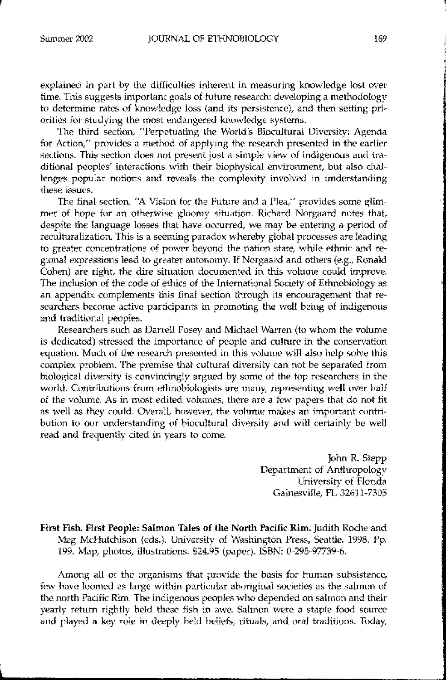explained in part by the difficulties inherent in measuring knowledge lost over time. This suggests important goals of future research: developing a methodology to determine rates of knowledge loss (and its persistence), and then setting priorities for studying the most endangered knowledge systems.

The third section, "Perpetuating the World's Biocultural Diversity: Agenda for Action," provides a method of applying the research presented in the earlier sections. This section does not present just a simple view of indigenous and traditional peoples' interactions with their biophysical environment, but also challenges popular notions and reveals the complexity involved in understanding these issues.

The final section, "A Vision for the Future and a Plea," provides some glimmer of hope for an otherwise gloomy situation. Richard Norgaard notes that, despite the language losses that have occurred, we may be entering a period of reculturalization. This is a seeming paradox whereby global processes are leading to greater concentrations of power beyond the nation state, while ethnic and regional expressions lead to greater autonomy. If Norgaard and others (e.g., Ronald Cohen) are right, the dire situation documented in this volume could improve. The inclusion of the code of ethics of the International Society of Ethnobiology as an appendix complements this final section through its encouragement that researchers become active participants in promoting the well being of indigenous and traditional peoples.

Researchers such as Darrell Posey and Michael Warren (to whom the volume is dedicated) stressed the importance of people and culture in the conservation equation. Much of the research presented in this volume will also help solve this complex problem. 'The premise that cultural diversity can not be separated from biological diversity is convincingly argued by some of the top researchers in the world. Contributions from ethnobiologists are many, representing well over half of the volume. As in most edited volumes, there are a few papers that do not fit as well as they could. Overall, however, the volume makes an important contribution to our understanding of biocultural diversity and will certainly be well read and frequently cited in years to come.

> John R. Stepp Department of Anthropology University of Florida Gainesville, FL 32611-7305

First Fish, First People: Salmon Tales of the North Pacific Rim. Judith Roche and Meg McHutchison (eds.). University 01 Washington Press, Seattle. 1998. Pp. 199. Map, photos, illustrations. \$24.95 (paper). ISBN: 0-295-97739-6.

Among all of the organisms that provide the basis for human subsistence, few have loomed as large within particular aboriginal societies as the salmon of the north Pacific Rim. The indigenous peoples who depended on salmon and their yearly return rightly held these fish in awe. Salmon were a staple food source and played a key role in deeply held beliefs, rituals, and oral traditions. Today,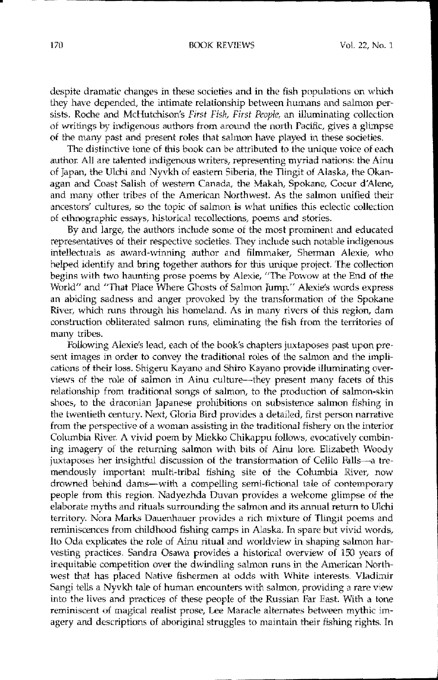• -\_..**---------------------------------**

despite dramatic changes in these societies and in the fish populations on which they have depended, the intimate relationship between humans and salmon persists. Roche and McHutchison's *First Fish, First People,* an illuminating collection of writings by indigenous authors from around the north Pacific, gives a glimpse of the many past and present roles that salmon have played in these societies.

The distinctive tone of this book can be attributed *to* the unique voice of each author. All are talented indigenous writers, representing myriad nations: the Ainu of Japan, the Ulchi and Nyvkh of eastern Siberia, the Tlingit of Alaska, the Okanagan and Coast Salish of western Canada, the Makah, Spokane, Coeur d'Alene, and many other tribes of the American Northwest. As the salmon unified their ancestors' cultures, so the topic of salmon is what unifies this eclectic collection of ethnographic essays, historical recollections, poems and stories.

By and large, the authors include some of the most prominent and educated representatives of their respective societies. They include such notable indigenous intellectuals as award-winning author and filmmaker, Sherman Alexie, who helped identify and bring together authors for this unique project. The collection begins with two haunting prose poems by Alexie, "The Powow at the End of the World" and "That Place Where Ghosts of Salmon lump." Alexie's words express an abiding sadness and anger provoked by the transformation of the Spokane River, which runs through his homeland. As in many rivers of this region, dam construction obliterated salmon runs, eliminating the fish from the territories of many tribes.

Following Alexic's lead, each of the book's chapters juxtaposes past upon present images in order to convey the traditional roles of the salmon and the implications of their loss. Shigeru Kayano and Shiro Kayano provide illuminating overviews of the role of salmon in Ainu culture--they present many facets of this relationship from tradilional songs of salmon, to the production of salmon-skin shoes, to the draconian Japanese prohibitions on subsistence salmon fishing in the twentieth century. Next, Gloria Bird provides a detailed, first person narrative from the perspective of a woman assisting in the traditional fishery on the interior Columbia River. A vivid poem by Miekko Chikappu follows, evocatively combining imagery of the returning salmon with bils of Ainu lore. Elizabeth Woody juxtaposes her insightful discussion of the transformation of Celilo Falls-a tremendously important multi-tribal fishing site of the Columbia River, now drowned behind dams-with a compelling semi-fictional tale of contemporary people from this region. Nadyezhda Duvan provides a welcome glimpse of the elaborate myths and rituals surrounding the salmon and its annual return to Ulchi territory. Nora Marks Dauenhauer provides a rich mixture of Tlingit poems and reminiscences from childhood fishing camps in Alaska. In spare but vivid words, Ito Oda explicates the role of Ainu ritual and worldview in shaping salmon harvesting practices. Sandra Osawa provides a historical overview of 150 years of inequitable competition over the dwindling salmon runs in the American Northwest that has placed Native fishermen at odds with White interests. Vladimir Sangi tells a Nyvkh tale of human encounters with salmon, providing a rare view into the lives and practices of these people of the Russian Far East. With a tone reminiscent of magical realist prose, Lee Maracle alternates between mythic imagery and descriptions of aboriginal struggles to maintain their fishing rights. In